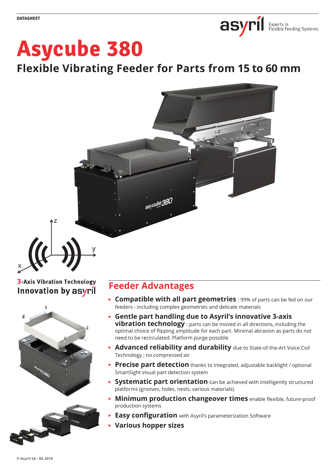

# **Asycube 380**

**Flexible Vibrating Feeder for Parts from 15 to 60 mm**



# **3-Axis Vibration Technology** Innovation by asyril

z

x



# **Feeder Advantages**

- **Compatible with all part geometries** : 99% of parts can be fed on our feeders - including complex geometries and delicate materials
- **Gentle part handling due to Asyril's innovative 3-axis vibration technology** : parts can be moved in all directions, including the optimal choice of flipping amplitude for each part. Minimal abrasion as parts do not need to be recirculated. Platform purge possible
- **Advanced reliability and durability** due to State-of-the-Art Voice Coil Technology ; no compressed air
- **Precise part detection** thanks to integrated, adjustable backlight / optional SmartSight visual part detection system
- **Systematic part orientation** can be achieved with intelligently structured platforms (grooves, holes, nests, various materials)
- **Minimum production changeover times** enable flexible, future-proof production systems
- **Easy configuration** with Asyril's parameterization Software
- **Various hopper sizes**